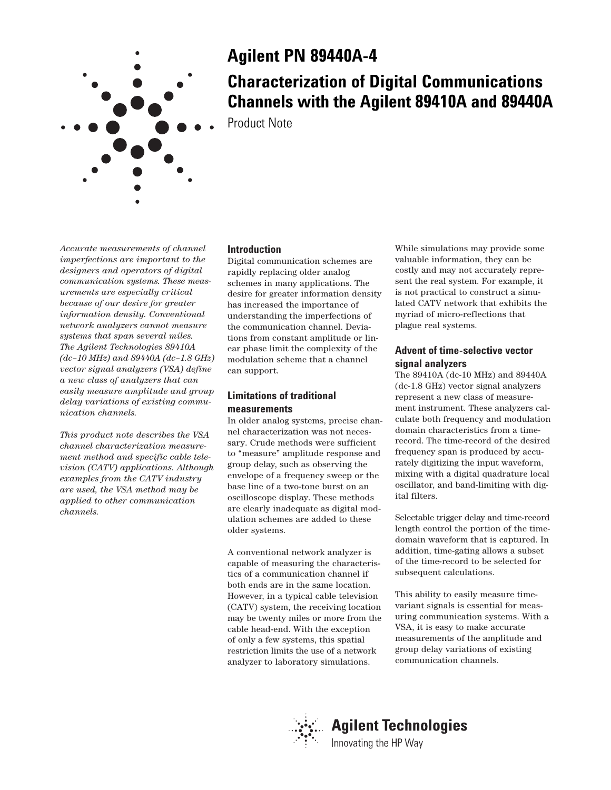

# **Agilent PN 89440A-4**

# **Characterization of Digital Communications Channels with the Agilent 89410A and 89440A**

Product Note

*Accurate measurements of channel imperfections are important to the designers and operators of digital communication systems. These measurements are especially critical because of our desire for greater information density. Conventional network analyzers cannot measure systems that span several miles. The Agilent Technologies 89410A (dc–10 MHz) and 89440A (dc–1.8 GHz) vector signal analyzers (VSA) define a new class of analyzers that can easily measure amplitude and group delay variations of existing communication channels.*

*This product note describes the VSA channel characterization measurement method and specific cable television (CATV) applications. Although examples from the CATV industry are used, the VSA method may be applied to other communication channels.*

# **Introduction**

Digital communication schemes are rapidly replacing older analog schemes in many applications. The desire for greater information density has increased the importance of understanding the imperfections of the communication channel. Deviations from constant amplitude or linear phase limit the complexity of the modulation scheme that a channel can support.

## **Limitations of traditional measurements**

In older analog systems, precise channel characterization was not necessary. Crude methods were sufficient to "measure" amplitude response and group delay, such as observing the envelope of a frequency sweep or the base line of a two-tone burst on an oscilloscope display. These methods are clearly inadequate as digital modulation schemes are added to these older systems.

A conventional network analyzer is capable of measuring the characteristics of a communication channel if both ends are in the same location. However, in a typical cable television (CATV) system, the receiving location may be twenty miles or more from the cable head-end. With the exception of only a few systems, this spatial restriction limits the use of a network analyzer to laboratory simulations.

While simulations may provide some valuable information, they can be costly and may not accurately represent the real system. For example, it is not practical to construct a simulated CATV network that exhibits the myriad of micro-reflections that plague real systems.

# **Advent of time-selective vector signal analyzers**

The 89410A (dc-10 MHz) and 89440A (dc-1.8 GHz) vector signal analyzers represent a new class of measurement instrument. These analyzers calculate both frequency and modulation domain characteristics from a timerecord. The time-record of the desired frequency span is produced by accurately digitizing the input waveform, mixing with a digital quadrature local oscillator, and band-limiting with digital filters.

Selectable trigger delay and time-record length control the portion of the timedomain waveform that is captured. In addition, time-gating allows a subset of the time-record to be selected for subsequent calculations.

This ability to easily measure timevariant signals is essential for measuring communication systems. With a VSA, it is easy to make accurate measurements of the amplitude and group delay variations of existing communication channels.

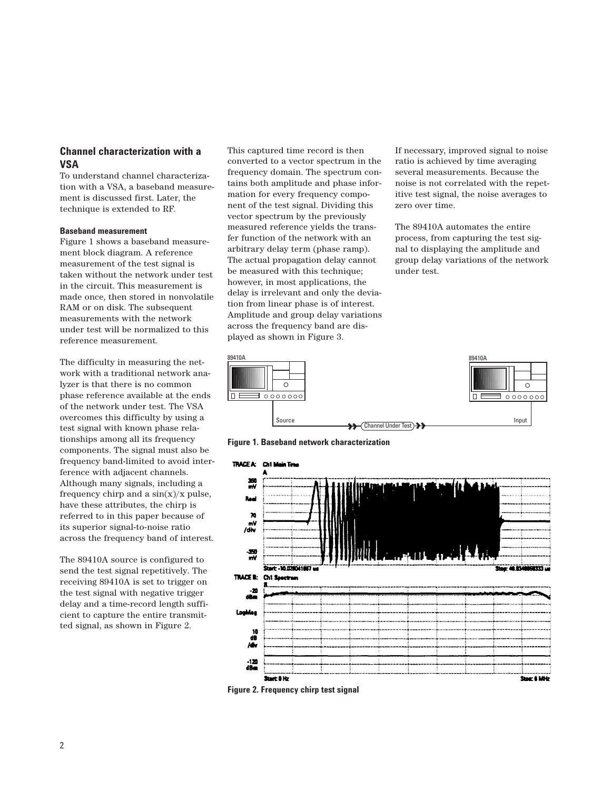## **Channel characterization with a VSA**

To understand channel characterization with a VSA, a baseband measurement is discussed first. Later, the technique is extended to RF.

#### **Baseband measurement**

Figure 1 shows a baseband measurement block diagram. A reference measurement of the test signal is taken without the network under test in the circuit. This measurement is made once, then stored in nonvolatile RAM or on disk. The subsequent measurements with the network under test will be normalized to this reference measurement.

The difficulty in measuring the network with a traditional network analyzer is that there is no common phase reference available at the ends of the network under test. The VSA overcomes this difficulty by using a test signal with known phase relationships among all its frequency components. The signal must also be frequency band-limited to avoid interference with adjacent channels. Although many signals, including a frequency chirp and a  $sin(x)/x$  pulse, have these attributes, the chirp is referred to in this paper because of its superior signal-to-noise ratio across the frequency band of interest.

The 89410A source is configured to send the test signal repetitively. The receiving 89410A is set to trigger on the test signal with negative trigger delay and a time-record length sufficient to capture the entire transmitted signal, as shown in Figure 2.

This captured time record is then converted to a vector spectrum in the frequency domain. The spectrum contains both amplitude and phase information for every frequency component of the test signal. Dividing this vector spectrum by the previously measured reference yields the transfer function of the network with an arbitrary delay term (phase ramp). The actual propagation delay cannot be measured with this technique; however, in most applications, the delay is irrelevant and only the deviation from linear phase is of interest. Amplitude and group delay variations across the frequency band are displayed as shown in Figure 3.

If necessary, improved signal to noise ratio is achieved by time averaging several measurements. Because the noise is not correlated with the repetitive test signal, the noise averages to zero over time.

The 89410A automates the entire process, from capturing the test signal to displaying the amplitude and group delay variations of the network under test.



**Figure 1. Baseband network characterization**



**Figure 2. Frequency chirp test signal**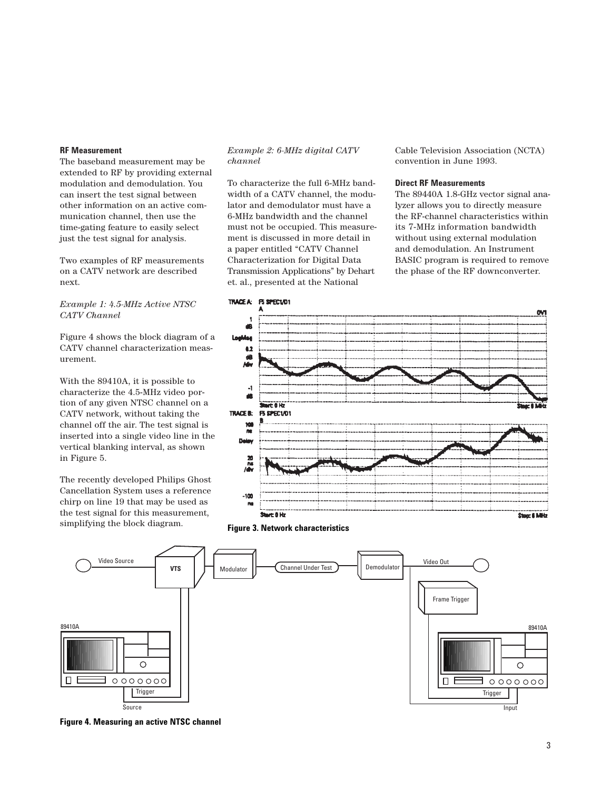## **RF Measurement**

The baseband measurement may be extended to RF by providing external modulation and demodulation. You can insert the test signal between other information on an active communication channel, then use the time-gating feature to easily select just the test signal for analysis.

Two examples of RF measurements on a CATV network are described next.

## *Example 1: 4.5-MHz Active NTSC CATV Channel*

Figure 4 shows the block diagram of a CATV channel characterization measurement.

With the 89410A, it is possible to characterize the 4.5-MHz video portion of any given NTSC channel on a CATV network, without taking the channel off the air. The test signal is inserted into a single video line in the vertical blanking interval, as shown in Figure 5.

The recently developed Philips Ghost Cancellation System uses a reference chirp on line 19 that may be used as the test signal for this measurement, simplifying the block diagram.

## *Example 2: 6-MHz digital CATV channel*

To characterize the full 6-MHz bandwidth of a CATV channel, the modulator and demodulator must have a 6-MHz bandwidth and the channel must not be occupied. This measurement is discussed in more detail in a paper entitled "CATV Channel Characterization for Digital Data Transmission Applications" by Dehart et. al., presented at the National

Cable Television Association (NCTA) convention in June 1993.

### **Direct RF Measurements**

The 89440A 1.8-GHz vector signal analyzer allows you to directly measure the RF-channel characteristics within its 7-MHz information bandwidth without using external modulation and demodulation. An Instrument BASIC program is required to remove the phase of the RF downconverter.



**Figure 3. Network characteristics**



**Figure 4. Measuring an active NTSC channel**